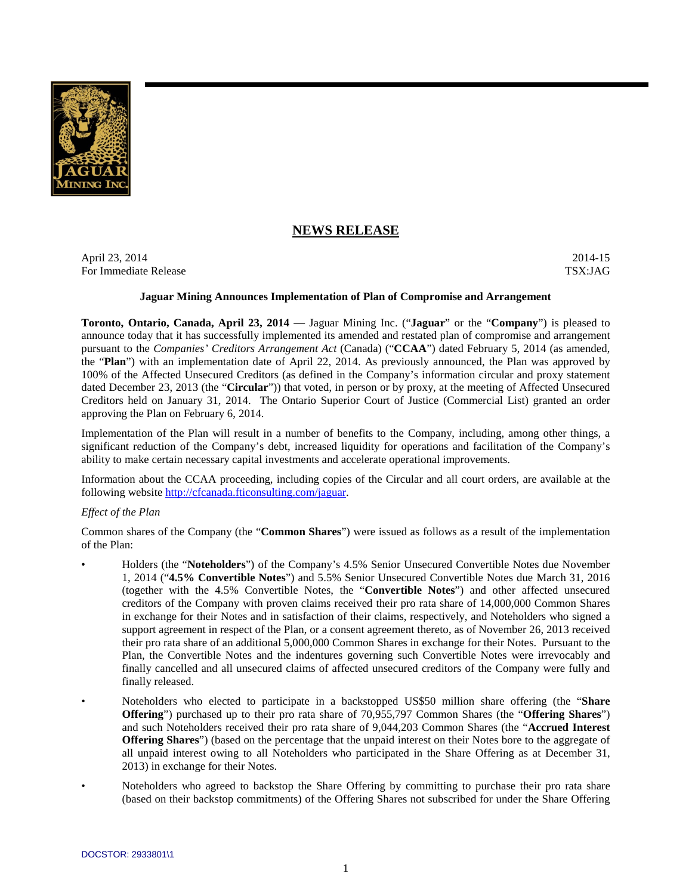

# **NEWS RELEASE**

April 23, 2014 2014-15 For Immediate Release TSX:JAG

## **Jaguar Mining Announces Implementation of Plan of Compromise and Arrangement**

**Toronto, Ontario, Canada, April 23, 2014** — Jaguar Mining Inc. ("**Jaguar**" or the "**Company**") is pleased to announce today that it has successfully implemented its amended and restated plan of compromise and arrangement pursuant to the *Companies' Creditors Arrangement Act* (Canada) ("**CCAA**") dated February 5, 2014 (as amended, the "**Plan**") with an implementation date of April 22, 2014. As previously announced, the Plan was approved by 100% of the Affected Unsecured Creditors (as defined in the Company's information circular and proxy statement dated December 23, 2013 (the "**Circular**")) that voted, in person or by proxy, at the meeting of Affected Unsecured Creditors held on January 31, 2014. The Ontario Superior Court of Justice (Commercial List) granted an order approving the Plan on February 6, 2014.

Implementation of the Plan will result in a number of benefits to the Company, including, among other things, a significant reduction of the Company's debt, increased liquidity for operations and facilitation of the Company's ability to make certain necessary capital investments and accelerate operational improvements.

Information about the CCAA proceeding, including copies of the Circular and all court orders, are available at the following website http://cfcanada.fticonsulting.com/jaguar.

# *Effect of the Plan*

Common shares of the Company (the "**Common Shares**") were issued as follows as a result of the implementation of the Plan:

- Holders (the "**Noteholders**") of the Company's 4.5% Senior Unsecured Convertible Notes due November 1, 2014 ("**4.5% Convertible Notes**") and 5.5% Senior Unsecured Convertible Notes due March 31, 2016 (together with the 4.5% Convertible Notes, the "**Convertible Notes**") and other affected unsecured creditors of the Company with proven claims received their pro rata share of 14,000,000 Common Shares in exchange for their Notes and in satisfaction of their claims, respectively, and Noteholders who signed a support agreement in respect of the Plan, or a consent agreement thereto, as of November 26, 2013 received their pro rata share of an additional 5,000,000 Common Shares in exchange for their Notes. Pursuant to the Plan, the Convertible Notes and the indentures governing such Convertible Notes were irrevocably and finally cancelled and all unsecured claims of affected unsecured creditors of the Company were fully and finally released.
- Noteholders who elected to participate in a backstopped US\$50 million share offering (the "**Share Offering**") purchased up to their pro rata share of 70,955,797 Common Shares (the "**Offering Shares**") and such Noteholders received their pro rata share of 9,044,203 Common Shares (the "**Accrued Interest Offering Shares**") (based on the percentage that the unpaid interest on their Notes bore to the aggregate of all unpaid interest owing to all Noteholders who participated in the Share Offering as at December 31, 2013) in exchange for their Notes.
- Noteholders who agreed to backstop the Share Offering by committing to purchase their pro rata share (based on their backstop commitments) of the Offering Shares not subscribed for under the Share Offering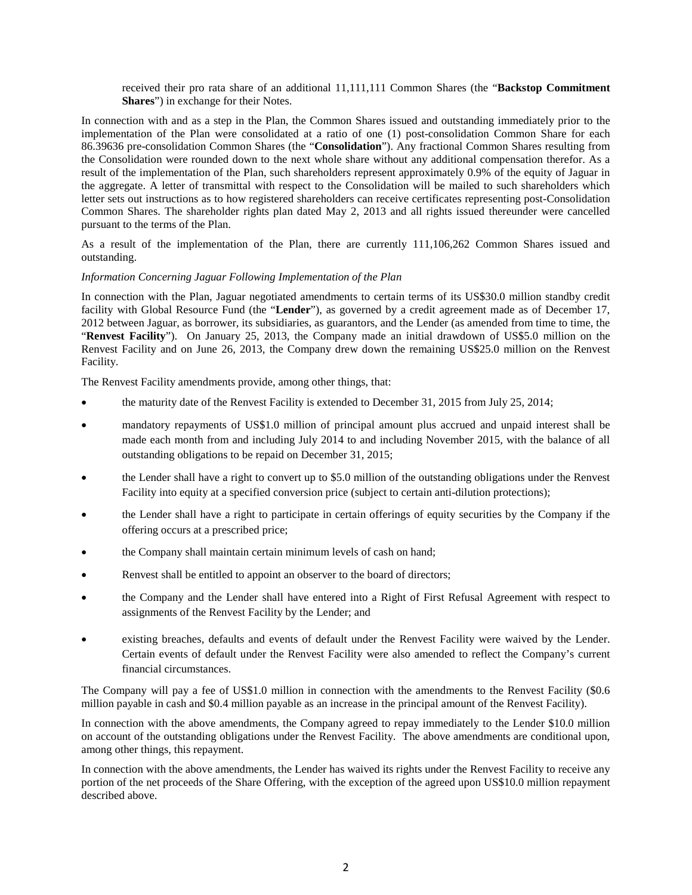received their pro rata share of an additional 11,111,111 Common Shares (the "**Backstop Commitment Shares**") in exchange for their Notes.

In connection with and as a step in the Plan, the Common Shares issued and outstanding immediately prior to the implementation of the Plan were consolidated at a ratio of one (1) post-consolidation Common Share for each 86.39636 pre-consolidation Common Shares (the "**Consolidation**"). Any fractional Common Shares resulting from the Consolidation were rounded down to the next whole share without any additional compensation therefor. As a result of the implementation of the Plan, such shareholders represent approximately 0.9% of the equity of Jaguar in the aggregate. A letter of transmittal with respect to the Consolidation will be mailed to such shareholders which letter sets out instructions as to how registered shareholders can receive certificates representing post-Consolidation Common Shares. The shareholder rights plan dated May 2, 2013 and all rights issued thereunder were cancelled pursuant to the terms of the Plan.

As a result of the implementation of the Plan, there are currently 111,106,262 Common Shares issued and outstanding.

#### *Information Concerning Jaguar Following Implementation of the Plan*

In connection with the Plan, Jaguar negotiated amendments to certain terms of its US\$30.0 million standby credit facility with Global Resource Fund (the "**Lender**"), as governed by a credit agreement made as of December 17, 2012 between Jaguar, as borrower, its subsidiaries, as guarantors, and the Lender (as amended from time to time, the "**Renvest Facility**"). On January 25, 2013, the Company made an initial drawdown of US\$5.0 million on the Renvest Facility and on June 26, 2013, the Company drew down the remaining US\$25.0 million on the Renvest Facility.

The Renvest Facility amendments provide, among other things, that:

- the maturity date of the Renvest Facility is extended to December 31, 2015 from July 25, 2014;
- mandatory repayments of US\$1.0 million of principal amount plus accrued and unpaid interest shall be made each month from and including July 2014 to and including November 2015, with the balance of all outstanding obligations to be repaid on December 31, 2015;
- the Lender shall have a right to convert up to \$5.0 million of the outstanding obligations under the Renvest Facility into equity at a specified conversion price (subject to certain anti-dilution protections);
- the Lender shall have a right to participate in certain offerings of equity securities by the Company if the offering occurs at a prescribed price;
- the Company shall maintain certain minimum levels of cash on hand;
- Renvest shall be entitled to appoint an observer to the board of directors;
- the Company and the Lender shall have entered into a Right of First Refusal Agreement with respect to assignments of the Renvest Facility by the Lender; and
- existing breaches, defaults and events of default under the Renvest Facility were waived by the Lender. Certain events of default under the Renvest Facility were also amended to reflect the Company's current financial circumstances.

The Company will pay a fee of US\$1.0 million in connection with the amendments to the Renvest Facility (\$0.6 million payable in cash and \$0.4 million payable as an increase in the principal amount of the Renvest Facility).

In connection with the above amendments, the Company agreed to repay immediately to the Lender \$10.0 million on account of the outstanding obligations under the Renvest Facility. The above amendments are conditional upon, among other things, this repayment.

In connection with the above amendments, the Lender has waived its rights under the Renvest Facility to receive any portion of the net proceeds of the Share Offering, with the exception of the agreed upon US\$10.0 million repayment described above.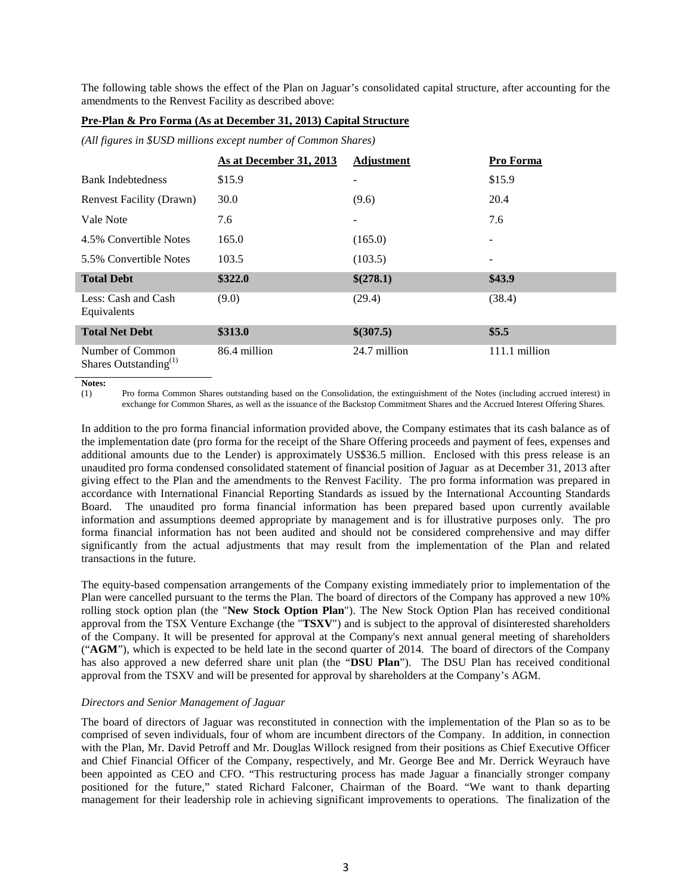The following table shows the effect of the Plan on Jaguar's consolidated capital structure, after accounting for the amendments to the Renvest Facility as described above:

## **Pre-Plan & Pro Forma (As at December 31, 2013) Capital Structure**

*(All figures in \$USD millions except number of Common Shares)*

|                                                       | As at December 31, 2013 | Adjustment               | Pro Forma     |
|-------------------------------------------------------|-------------------------|--------------------------|---------------|
| <b>Bank Indebtedness</b>                              | \$15.9                  | -                        | \$15.9        |
| <b>Renvest Facility (Drawn)</b>                       | 30.0                    | (9.6)                    | 20.4          |
| Vale Note                                             | 7.6                     | $\overline{\phantom{a}}$ | 7.6           |
| 4.5% Convertible Notes                                | 165.0                   | (165.0)                  | -             |
| 5.5% Convertible Notes                                | 103.5                   | (103.5)                  |               |
| <b>Total Debt</b>                                     | \$322.0                 | \$(278.1)                | \$43.9        |
| Less: Cash and Cash<br>Equivalents                    | (9.0)                   | (29.4)                   | (38.4)        |
| <b>Total Net Debt</b>                                 | \$313.0                 | \$(307.5)                | \$5.5         |
| Number of Common<br>Shares Outstanding <sup>(1)</sup> | 86.4 million            | 24.7 million             | 111.1 million |

**Notes:**

(1) Pro forma Common Shares outstanding based on the Consolidation, the extinguishment of the Notes (including accrued interest) in exchange for Common Shares, as well as the issuance of the Backstop Commitment Shares and the Accrued Interest Offering Shares.

In addition to the pro forma financial information provided above, the Company estimates that its cash balance as of the implementation date (pro forma for the receipt of the Share Offering proceeds and payment of fees, expenses and additional amounts due to the Lender) is approximately US\$36.5 million. Enclosed with this press release is an unaudited pro forma condensed consolidated statement of financial position of Jaguar as at December 31, 2013 after giving effect to the Plan and the amendments to the Renvest Facility. The pro forma information was prepared in accordance with International Financial Reporting Standards as issued by the International Accounting Standards Board. The unaudited pro forma financial information has been prepared based upon currently available information and assumptions deemed appropriate by management and is for illustrative purposes only. The pro forma financial information has not been audited and should not be considered comprehensive and may differ significantly from the actual adjustments that may result from the implementation of the Plan and related transactions in the future.

The equity-based compensation arrangements of the Company existing immediately prior to implementation of the Plan were cancelled pursuant to the terms the Plan. The board of directors of the Company has approved a new 10% rolling stock option plan (the "**New Stock Option Plan**"). The New Stock Option Plan has received conditional approval from the TSX Venture Exchange (the "**TSXV**") and is subject to the approval of disinterested shareholders of the Company. It will be presented for approval at the Company's next annual general meeting of shareholders ("**AGM**"), which is expected to be held late in the second quarter of 2014. The board of directors of the Company has also approved a new deferred share unit plan (the "**DSU Plan**"). The DSU Plan has received conditional approval from the TSXV and will be presented for approval by shareholders at the Company's AGM.

# *Directors and Senior Management of Jaguar*

The board of directors of Jaguar was reconstituted in connection with the implementation of the Plan so as to be comprised of seven individuals, four of whom are incumbent directors of the Company. In addition, in connection with the Plan, Mr. David Petroff and Mr. Douglas Willock resigned from their positions as Chief Executive Officer and Chief Financial Officer of the Company, respectively, and Mr. George Bee and Mr. Derrick Weyrauch have been appointed as CEO and CFO. "This restructuring process has made Jaguar a financially stronger company positioned for the future," stated Richard Falconer, Chairman of the Board. "We want to thank departing management for their leadership role in achieving significant improvements to operations. The finalization of the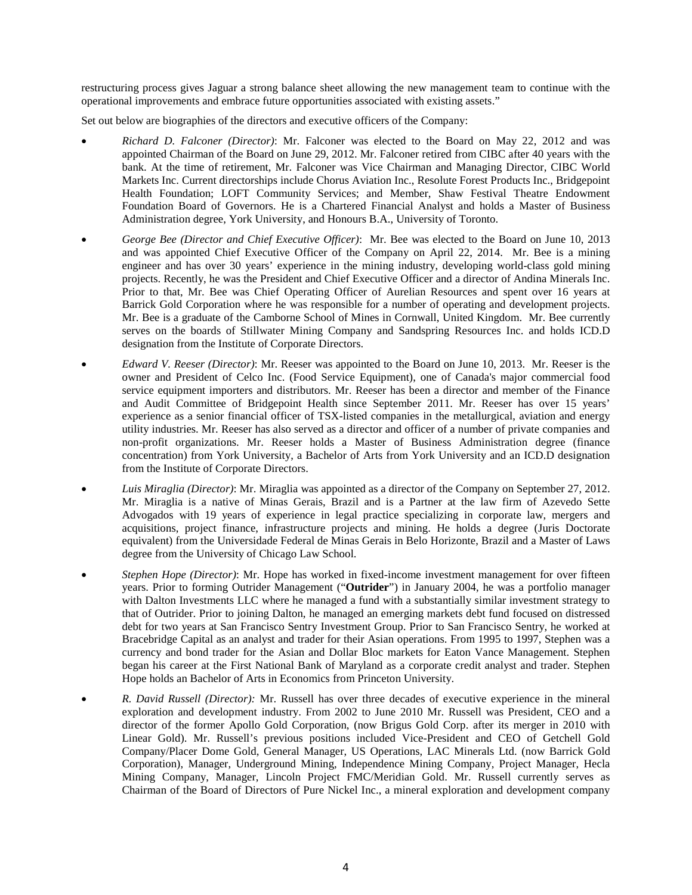restructuring process gives Jaguar a strong balance sheet allowing the new management team to continue with the operational improvements and embrace future opportunities associated with existing assets."

Set out below are biographies of the directors and executive officers of the Company:

- *Richard D. Falconer (Director)*: Mr. Falconer was elected to the Board on May 22, 2012 and was appointed Chairman of the Board on June 29, 2012. Mr. Falconer retired from CIBC after 40 years with the bank. At the time of retirement, Mr. Falconer was Vice Chairman and Managing Director, CIBC World Markets Inc. Current directorships include Chorus Aviation Inc., Resolute Forest Products Inc., Bridgepoint Health Foundation; LOFT Community Services; and Member, Shaw Festival Theatre Endowment Foundation Board of Governors. He is a Chartered Financial Analyst and holds a Master of Business Administration degree, York University, and Honours B.A., University of Toronto.
- *George Bee (Director and Chief Executive Officer)*: Mr. Bee was elected to the Board on June 10, 2013 and was appointed Chief Executive Officer of the Company on April 22, 2014. Mr. Bee is a mining engineer and has over 30 years' experience in the mining industry, developing world-class gold mining projects. Recently, he was the President and Chief Executive Officer and a director of Andina Minerals Inc. Prior to that, Mr. Bee was Chief Operating Officer of Aurelian Resources and spent over 16 years at Barrick Gold Corporation where he was responsible for a number of operating and development projects. Mr. Bee is a graduate of the Camborne School of Mines in Cornwall, United Kingdom. Mr. Bee currently serves on the boards of Stillwater Mining Company and Sandspring Resources Inc. and holds ICD.D designation from the Institute of Corporate Directors.
- *Edward V. Reeser (Director)*: Mr. Reeser was appointed to the Board on June 10, 2013. Mr. Reeser is the owner and President of Celco Inc. (Food Service Equipment), one of Canada's major commercial food service equipment importers and distributors. Mr. Reeser has been a director and member of the Finance and Audit Committee of Bridgepoint Health since September 2011. Mr. Reeser has over 15 years' experience as a senior financial officer of TSX-listed companies in the metallurgical, aviation and energy utility industries. Mr. Reeser has also served as a director and officer of a number of private companies and non-profit organizations. Mr. Reeser holds a Master of Business Administration degree (finance concentration) from York University, a Bachelor of Arts from York University and an ICD.D designation from the Institute of Corporate Directors.
- *Luis Miraglia (Director)*: Mr. Miraglia was appointed as a director of the Company on September 27, 2012. Mr. Miraglia is a native of Minas Gerais, Brazil and is a Partner at the law firm of Azevedo Sette Advogados with 19 years of experience in legal practice specializing in corporate law, mergers and acquisitions, project finance, infrastructure projects and mining. He holds a degree (Juris Doctorate equivalent) from the Universidade Federal de Minas Gerais in Belo Horizonte, Brazil and a Master of Laws degree from the University of Chicago Law School.
- *Stephen Hope (Director)*: Mr. Hope has worked in fixed-income investment management for over fifteen years. Prior to forming Outrider Management ("**Outrider**") in January 2004, he was a portfolio manager with Dalton Investments LLC where he managed a fund with a substantially similar investment strategy to that of Outrider. Prior to joining Dalton, he managed an emerging markets debt fund focused on distressed debt for two years at San Francisco Sentry Investment Group. Prior to San Francisco Sentry, he worked at Bracebridge Capital as an analyst and trader for their Asian operations. From 1995 to 1997, Stephen was a currency and bond trader for the Asian and Dollar Bloc markets for Eaton Vance Management. Stephen began his career at the First National Bank of Maryland as a corporate credit analyst and trader. Stephen Hope holds an Bachelor of Arts in Economics from Princeton University.
- *R. David Russell (Director):* Mr. Russell has over three decades of executive experience in the mineral exploration and development industry. From 2002 to June 2010 Mr. Russell was President, CEO and a director of the former Apollo Gold Corporation, (now Brigus Gold Corp. after its merger in 2010 with Linear Gold). Mr. Russell's previous positions included Vice-President and CEO of Getchell Gold Company/Placer Dome Gold, General Manager, US Operations, LAC Minerals Ltd. (now Barrick Gold Corporation), Manager, Underground Mining, Independence Mining Company, Project Manager, Hecla Mining Company, Manager, Lincoln Project FMC/Meridian Gold. Mr. Russell currently serves as Chairman of the Board of Directors of Pure Nickel Inc., a mineral exploration and development company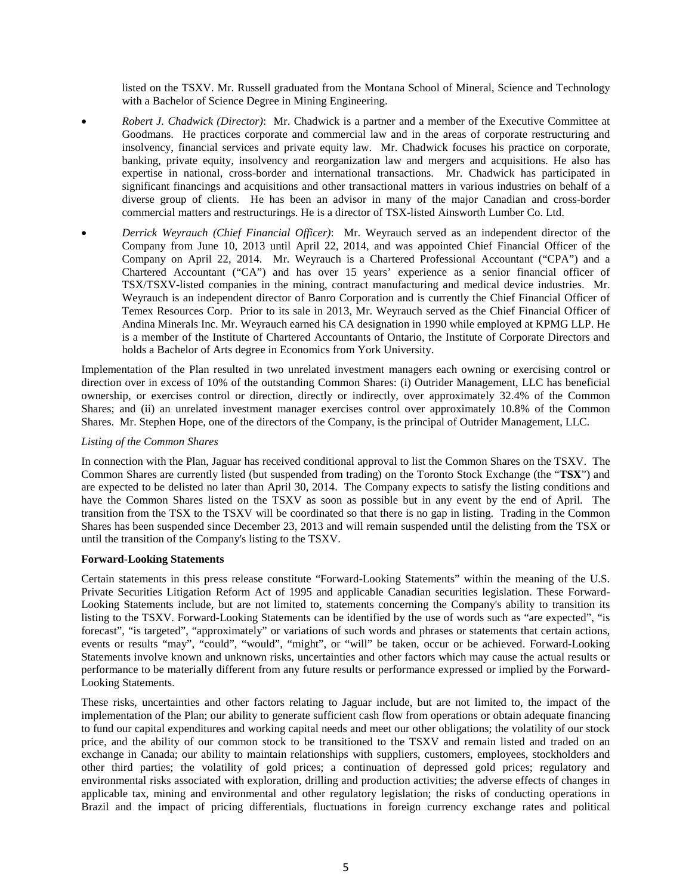listed on the TSXV. Mr. Russell graduated from the Montana School of Mineral, Science and Technology with a Bachelor of Science Degree in Mining Engineering.

- *Robert J. Chadwick (Director)*: Mr. Chadwick is a partner and a member of the Executive Committee at Goodmans. He practices corporate and commercial law and in the areas of corporate restructuring and insolvency, financial services and private equity law. Mr. Chadwick focuses his practice on corporate, banking, private equity, insolvency and reorganization law and mergers and acquisitions. He also has expertise in national, cross-border and international transactions. Mr. Chadwick has participated in significant financings and acquisitions and other transactional matters in various industries on behalf of a diverse group of clients. He has been an advisor in many of the major Canadian and cross-border commercial matters and restructurings. He is a director of TSX-listed Ainsworth Lumber Co. Ltd.
- *Derrick Weyrauch (Chief Financial Officer)*: Mr. Weyrauch served as an independent director of the Company from June 10, 2013 until April 22, 2014, and was appointed Chief Financial Officer of the Company on April 22, 2014. Mr. Weyrauch is a Chartered Professional Accountant ("CPA") and a Chartered Accountant ("CA") and has over 15 years' experience as a senior financial officer of TSX/TSXV-listed companies in the mining, contract manufacturing and medical device industries. Mr. Weyrauch is an independent director of Banro Corporation and is currently the Chief Financial Officer of Temex Resources Corp. Prior to its sale in 2013, Mr. Weyrauch served as the Chief Financial Officer of Andina Minerals Inc. Mr. Weyrauch earned his CA designation in 1990 while employed at KPMG LLP. He is a member of the Institute of Chartered Accountants of Ontario, the Institute of Corporate Directors and holds a Bachelor of Arts degree in Economics from York University.

Implementation of the Plan resulted in two unrelated investment managers each owning or exercising control or direction over in excess of 10% of the outstanding Common Shares: (i) Outrider Management, LLC has beneficial ownership, or exercises control or direction, directly or indirectly, over approximately 32.4% of the Common Shares; and (ii) an unrelated investment manager exercises control over approximately 10.8% of the Common Shares. Mr. Stephen Hope, one of the directors of the Company, is the principal of Outrider Management, LLC.

## *Listing of the Common Shares*

In connection with the Plan, Jaguar has received conditional approval to list the Common Shares on the TSXV. The Common Shares are currently listed (but suspended from trading) on the Toronto Stock Exchange (the "**TSX**") and are expected to be delisted no later than April 30, 2014. The Company expects to satisfy the listing conditions and have the Common Shares listed on the TSXV as soon as possible but in any event by the end of April. The transition from the TSX to the TSXV will be coordinated so that there is no gap in listing. Trading in the Common Shares has been suspended since December 23, 2013 and will remain suspended until the delisting from the TSX or until the transition of the Company's listing to the TSXV.

#### **Forward-Looking Statements**

Certain statements in this press release constitute "Forward-Looking Statements" within the meaning of the U.S. Private Securities Litigation Reform Act of 1995 and applicable Canadian securities legislation. These Forward-Looking Statements include, but are not limited to, statements concerning the Company's ability to transition its listing to the TSXV. Forward-Looking Statements can be identified by the use of words such as "are expected", "is forecast", "is targeted", "approximately" or variations of such words and phrases or statements that certain actions, events or results "may", "could", "would", "might", or "will" be taken, occur or be achieved. Forward-Looking Statements involve known and unknown risks, uncertainties and other factors which may cause the actual results or performance to be materially different from any future results or performance expressed or implied by the Forward-Looking Statements.

These risks, uncertainties and other factors relating to Jaguar include, but are not limited to, the impact of the implementation of the Plan; our ability to generate sufficient cash flow from operations or obtain adequate financing to fund our capital expenditures and working capital needs and meet our other obligations; the volatility of our stock price, and the ability of our common stock to be transitioned to the TSXV and remain listed and traded on an exchange in Canada; our ability to maintain relationships with suppliers, customers, employees, stockholders and other third parties; the volatility of gold prices; a continuation of depressed gold prices; regulatory and environmental risks associated with exploration, drilling and production activities; the adverse effects of changes in applicable tax, mining and environmental and other regulatory legislation; the risks of conducting operations in Brazil and the impact of pricing differentials, fluctuations in foreign currency exchange rates and political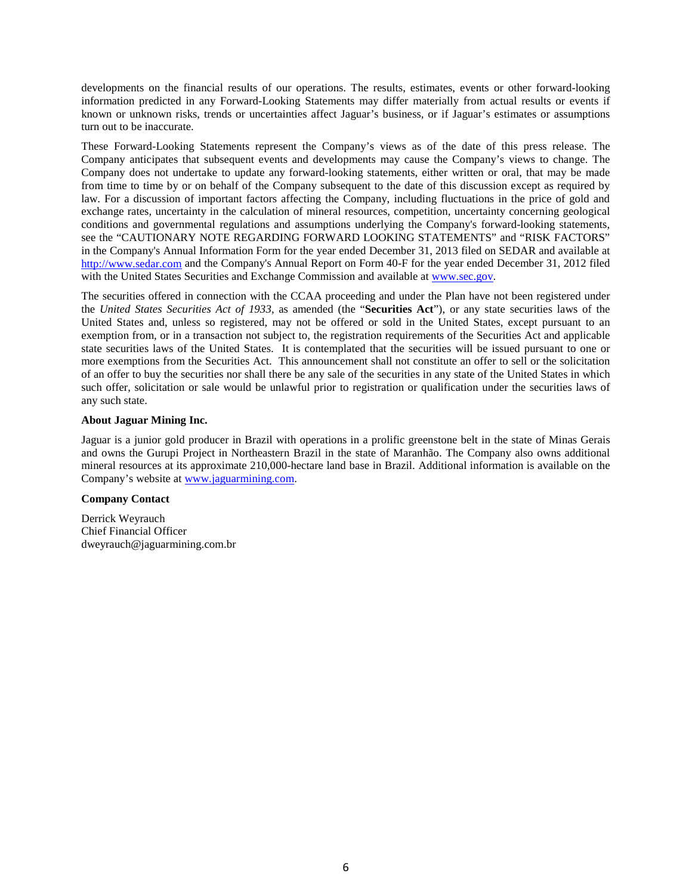developments on the financial results of our operations. The results, estimates, events or other forward-looking information predicted in any Forward-Looking Statements may differ materially from actual results or events if known or unknown risks, trends or uncertainties affect Jaguar's business, or if Jaguar's estimates or assumptions turn out to be inaccurate.

These Forward-Looking Statements represent the Company's views as of the date of this press release. The Company anticipates that subsequent events and developments may cause the Company's views to change. The Company does not undertake to update any forward-looking statements, either written or oral, that may be made from time to time by or on behalf of the Company subsequent to the date of this discussion except as required by law. For a discussion of important factors affecting the Company, including fluctuations in the price of gold and exchange rates, uncertainty in the calculation of mineral resources, competition, uncertainty concerning geological conditions and governmental regulations and assumptions underlying the Company's forward-looking statements, see the "CAUTIONARY NOTE REGARDING FORWARD LOOKING STATEMENTS" and "RISK FACTORS" in the Company's Annual Information Form for the year ended December 31, 2013 filed on SEDAR and available at http://www.sedar.com and the Company's Annual Report on Form 40-F for the year ended December 31, 2012 filed with the United States Securities and Exchange Commission and available at www.sec.gov.

The securities offered in connection with the CCAA proceeding and under the Plan have not been registered under the *United States Securities Act of 1933*, as amended (the "**Securities Act**"), or any state securities laws of the United States and, unless so registered, may not be offered or sold in the United States, except pursuant to an exemption from, or in a transaction not subject to, the registration requirements of the Securities Act and applicable state securities laws of the United States. It is contemplated that the securities will be issued pursuant to one or more exemptions from the Securities Act. This announcement shall not constitute an offer to sell or the solicitation of an offer to buy the securities nor shall there be any sale of the securities in any state of the United States in which such offer, solicitation or sale would be unlawful prior to registration or qualification under the securities laws of any such state.

# **About Jaguar Mining Inc.**

Jaguar is a junior gold producer in Brazil with operations in a prolific greenstone belt in the state of Minas Gerais and owns the Gurupi Project in Northeastern Brazil in the state of Maranhão. The Company also owns additional mineral resources at its approximate 210,000-hectare land base in Brazil. Additional information is available on the Company's website at www.jaguarmining.com.

# **Company Contact**

Derrick Weyrauch Chief Financial Officer dweyrauch@jaguarmining.com.br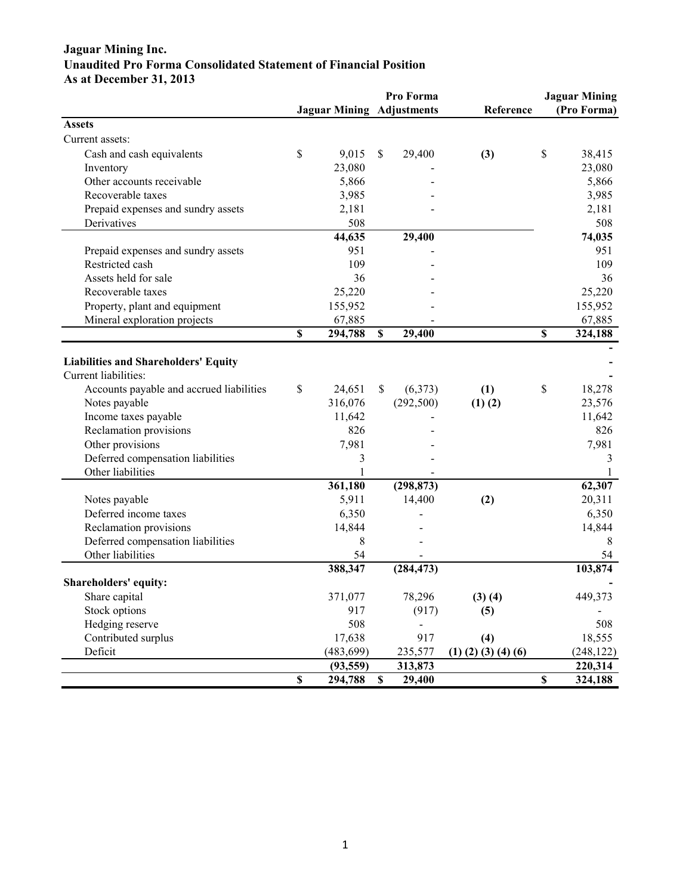# **Jaguar Mining Inc. Unaudited Pro Forma Consolidated Statement of Financial Position As at December 31, 2013**

|                                             |                         |                                  |             | Pro Forma  |                               |                           | <b>Jaguar Mining</b> |
|---------------------------------------------|-------------------------|----------------------------------|-------------|------------|-------------------------------|---------------------------|----------------------|
|                                             |                         | <b>Jaguar Mining Adjustments</b> |             |            | Reference                     |                           | (Pro Forma)          |
| <b>Assets</b>                               |                         |                                  |             |            |                               |                           |                      |
| Current assets:                             |                         |                                  |             |            |                               |                           |                      |
| Cash and cash equivalents                   | \$                      | 9,015                            | \$          | 29,400     | (3)                           | \$                        | 38,415               |
| Inventory                                   |                         | 23,080                           |             |            |                               |                           | 23,080               |
| Other accounts receivable                   |                         | 5,866                            |             |            |                               |                           | 5,866                |
| Recoverable taxes                           |                         | 3,985                            |             |            |                               |                           | 3,985                |
| Prepaid expenses and sundry assets          |                         | 2,181                            |             |            |                               |                           | 2,181                |
| Derivatives                                 |                         | 508                              |             |            |                               |                           | 508                  |
|                                             |                         | 44,635                           |             | 29,400     |                               |                           | 74,035               |
| Prepaid expenses and sundry assets          |                         | 951                              |             |            |                               |                           | 951                  |
| Restricted cash                             |                         | 109                              |             |            |                               |                           | 109                  |
| Assets held for sale                        |                         | 36                               |             |            |                               |                           | 36                   |
| Recoverable taxes                           |                         | 25,220                           |             |            |                               |                           | 25,220               |
| Property, plant and equipment               |                         | 155,952                          |             |            |                               |                           | 155,952              |
| Mineral exploration projects                |                         | 67,885                           |             |            |                               |                           | 67,885               |
|                                             | \$                      | 294,788                          | \$          | 29,400     |                               | \$                        | 324,188              |
|                                             |                         |                                  |             |            |                               |                           |                      |
| <b>Liabilities and Shareholders' Equity</b> |                         |                                  |             |            |                               |                           |                      |
| Current liabilities:                        |                         |                                  |             |            |                               |                           |                      |
| Accounts payable and accrued liabilities    | \$                      | 24,651                           | \$          | (6,373)    | (1)                           | \$                        | 18,278               |
| Notes payable                               |                         | 316,076                          |             | (292, 500) | $(1)$ $(2)$                   |                           | 23,576               |
| Income taxes payable                        |                         | 11,642                           |             |            |                               |                           | 11,642               |
| Reclamation provisions                      |                         | 826                              |             |            |                               |                           | 826                  |
| Other provisions                            |                         | 7,981                            |             |            |                               |                           | 7,981                |
| Deferred compensation liabilities           |                         | 3                                |             |            |                               |                           | 3                    |
| Other liabilities                           |                         | 1                                |             |            |                               |                           | 1                    |
|                                             |                         | 361,180                          |             | (298, 873) |                               |                           | 62,307               |
| Notes payable                               |                         | 5,911                            |             | 14,400     | (2)                           |                           | 20,311               |
| Deferred income taxes                       |                         | 6,350                            |             |            |                               |                           | 6,350                |
| Reclamation provisions                      |                         | 14,844                           |             |            |                               |                           | 14,844               |
| Deferred compensation liabilities           |                         | 8                                |             |            |                               |                           | 8                    |
| Other liabilities                           |                         | 54                               |             |            |                               |                           | 54                   |
|                                             |                         | 388,347                          |             | (284, 473) |                               |                           | 103,874              |
| Shareholders' equity:                       |                         |                                  |             |            |                               |                           |                      |
| Share capital                               |                         | 371,077                          |             | 78,296     | (3)(4)                        |                           | 449,373              |
| Stock options                               |                         | 917                              |             | (917)      | (5)                           |                           |                      |
| Hedging reserve                             |                         | 508                              |             |            |                               |                           | 508                  |
| Contributed surplus                         |                         | 17,638                           |             | 917        | (4)                           |                           | 18,555               |
| Deficit                                     |                         | (483, 699)                       |             | 235,577    | $(1)$ $(2)$ $(3)$ $(4)$ $(6)$ |                           | (248, 122)           |
|                                             |                         | (93, 559)                        |             | 313,873    |                               |                           | 220,314              |
|                                             | $\overline{\mathbb{S}}$ | 294,788                          | $\mathbf S$ | 29,400     |                               | $\boldsymbol{\mathsf{S}}$ | 324,188              |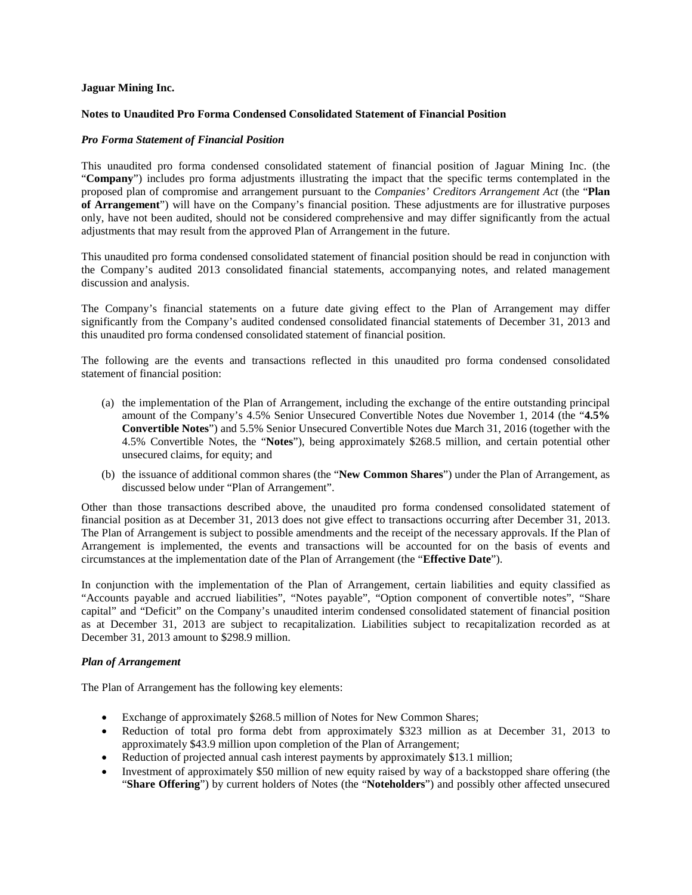#### **Jaguar Mining Inc.**

#### **Notes to Unaudited Pro Forma Condensed Consolidated Statement of Financial Position**

#### *Pro Forma Statement of Financial Position*

This unaudited pro forma condensed consolidated statement of financial position of Jaguar Mining Inc. (the "**Company**") includes pro forma adjustments illustrating the impact that the specific terms contemplated in the proposed plan of compromise and arrangement pursuant to the *Companies' Creditors Arrangement Act* (the "**Plan of Arrangement**") will have on the Company's financial position. These adjustments are for illustrative purposes only, have not been audited, should not be considered comprehensive and may differ significantly from the actual adjustments that may result from the approved Plan of Arrangement in the future.

This unaudited pro forma condensed consolidated statement of financial position should be read in conjunction with the Company's audited 2013 consolidated financial statements, accompanying notes, and related management discussion and analysis.

The Company's financial statements on a future date giving effect to the Plan of Arrangement may differ significantly from the Company's audited condensed consolidated financial statements of December 31, 2013 and this unaudited pro forma condensed consolidated statement of financial position.

The following are the events and transactions reflected in this unaudited pro forma condensed consolidated statement of financial position:

- (a) the implementation of the Plan of Arrangement, including the exchange of the entire outstanding principal amount of the Company's 4.5% Senior Unsecured Convertible Notes due November 1, 2014 (the "**4.5% Convertible Notes**") and 5.5% Senior Unsecured Convertible Notes due March 31, 2016 (together with the 4.5% Convertible Notes, the "**Notes**"), being approximately \$268.5 million, and certain potential other unsecured claims, for equity; and
- (b) the issuance of additional common shares (the "**New Common Shares**") under the Plan of Arrangement, as discussed below under "Plan of Arrangement".

Other than those transactions described above, the unaudited pro forma condensed consolidated statement of financial position as at December 31, 2013 does not give effect to transactions occurring after December 31, 2013. The Plan of Arrangement is subject to possible amendments and the receipt of the necessary approvals. If the Plan of Arrangement is implemented, the events and transactions will be accounted for on the basis of events and circumstances at the implementation date of the Plan of Arrangement (the "**Effective Date**").

In conjunction with the implementation of the Plan of Arrangement, certain liabilities and equity classified as "Accounts payable and accrued liabilities", "Notes payable", "Option component of convertible notes", "Share capital" and "Deficit" on the Company's unaudited interim condensed consolidated statement of financial position as at December 31, 2013 are subject to recapitalization. Liabilities subject to recapitalization recorded as at December 31, 2013 amount to \$298.9 million.

#### *Plan of Arrangement*

The Plan of Arrangement has the following key elements:

- Exchange of approximately \$268.5 million of Notes for New Common Shares;
- Reduction of total pro forma debt from approximately \$323 million as at December 31, 2013 to approximately \$43.9 million upon completion of the Plan of Arrangement;
- Reduction of projected annual cash interest payments by approximately \$13.1 million;
- Investment of approximately \$50 million of new equity raised by way of a backstopped share offering (the "**Share Offering**") by current holders of Notes (the "**Noteholders**") and possibly other affected unsecured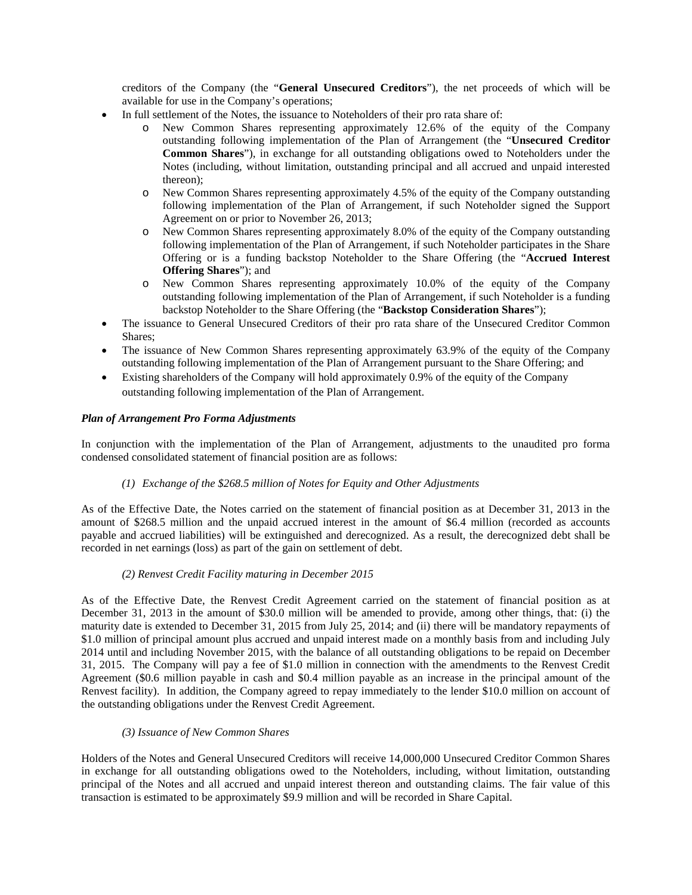creditors of the Company (the "**General Unsecured Creditors**"), the net proceeds of which will be available for use in the Company's operations;

- In full settlement of the Notes, the issuance to Noteholders of their pro rata share of:
	- o New Common Shares representing approximately 12.6% of the equity of the Company outstanding following implementation of the Plan of Arrangement (the "**Unsecured Creditor Common Shares**"), in exchange for all outstanding obligations owed to Noteholders under the Notes (including, without limitation, outstanding principal and all accrued and unpaid interested thereon);
	- o New Common Shares representing approximately 4.5% of the equity of the Company outstanding following implementation of the Plan of Arrangement, if such Noteholder signed the Support Agreement on or prior to November 26, 2013;
	- o New Common Shares representing approximately 8.0% of the equity of the Company outstanding following implementation of the Plan of Arrangement, if such Noteholder participates in the Share Offering or is a funding backstop Noteholder to the Share Offering (the "**Accrued Interest Offering Shares**"); and
	- o New Common Shares representing approximately 10.0% of the equity of the Company outstanding following implementation of the Plan of Arrangement, if such Noteholder is a funding backstop Noteholder to the Share Offering (the "**Backstop Consideration Shares**");
- The issuance to General Unsecured Creditors of their pro rata share of the Unsecured Creditor Common Shares;
- The issuance of New Common Shares representing approximately 63.9% of the equity of the Company outstanding following implementation of the Plan of Arrangement pursuant to the Share Offering; and
- Existing shareholders of the Company will hold approximately 0.9% of the equity of the Company outstanding following implementation of the Plan of Arrangement.

## *Plan of Arrangement Pro Forma Adjustments*

In conjunction with the implementation of the Plan of Arrangement, adjustments to the unaudited pro forma condensed consolidated statement of financial position are as follows:

# *(1) Exchange of the \$268.5 million of Notes for Equity and Other Adjustments*

As of the Effective Date, the Notes carried on the statement of financial position as at December 31, 2013 in the amount of \$268.5 million and the unpaid accrued interest in the amount of \$6.4 million (recorded as accounts payable and accrued liabilities) will be extinguished and derecognized. As a result, the derecognized debt shall be recorded in net earnings (loss) as part of the gain on settlement of debt.

# *(2) Renvest Credit Facility maturing in December 2015*

As of the Effective Date, the Renvest Credit Agreement carried on the statement of financial position as at December 31, 2013 in the amount of \$30.0 million will be amended to provide, among other things, that: (i) the maturity date is extended to December 31, 2015 from July 25, 2014; and (ii) there will be mandatory repayments of \$1.0 million of principal amount plus accrued and unpaid interest made on a monthly basis from and including July 2014 until and including November 2015, with the balance of all outstanding obligations to be repaid on December 31, 2015. The Company will pay a fee of \$1.0 million in connection with the amendments to the Renvest Credit Agreement (\$0.6 million payable in cash and \$0.4 million payable as an increase in the principal amount of the Renvest facility). In addition, the Company agreed to repay immediately to the lender \$10.0 million on account of the outstanding obligations under the Renvest Credit Agreement.

#### *(3) Issuance of New Common Shares*

Holders of the Notes and General Unsecured Creditors will receive 14,000,000 Unsecured Creditor Common Shares in exchange for all outstanding obligations owed to the Noteholders, including, without limitation, outstanding principal of the Notes and all accrued and unpaid interest thereon and outstanding claims. The fair value of this transaction is estimated to be approximately \$9.9 million and will be recorded in Share Capital.